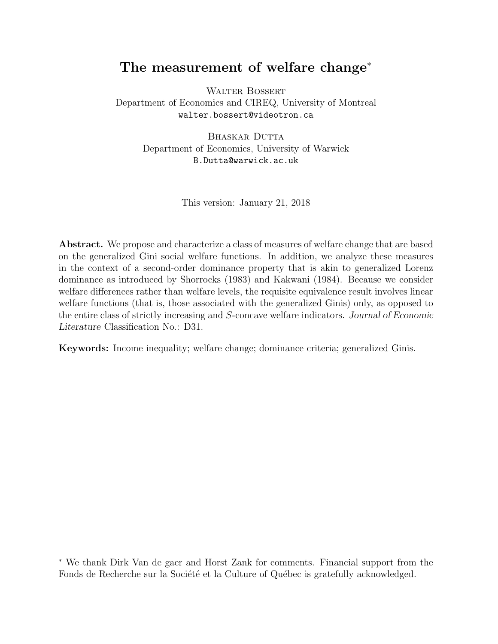# The measurement of welfare change<sup>∗</sup>

WALTER BOSSERT Department of Economics and CIREQ, University of Montreal walter.bossert@videotron.ca

> BHASKAR DUTTA Department of Economics, University of Warwick B.Dutta@warwick.ac.uk

> > This version: January 21, 2018

Abstract. We propose and characterize a class of measures of welfare change that are based on the generalized Gini social welfare functions. In addition, we analyze these measures in the context of a second-order dominance property that is akin to generalized Lorenz dominance as introduced by Shorrocks (1983) and Kakwani (1984). Because we consider welfare differences rather than welfare levels, the requisite equivalence result involves linear welfare functions (that is, those associated with the generalized Ginis) only, as opposed to the entire class of strictly increasing and S-concave welfare indicators. Journal of Economic Literature Classification No.: D31.

Keywords: Income inequality; welfare change; dominance criteria; generalized Ginis.

<sup>∗</sup> We thank Dirk Van de gaer and Horst Zank for comments. Financial support from the Fonds de Recherche sur la Société et la Culture of Québec is gratefully acknowledged.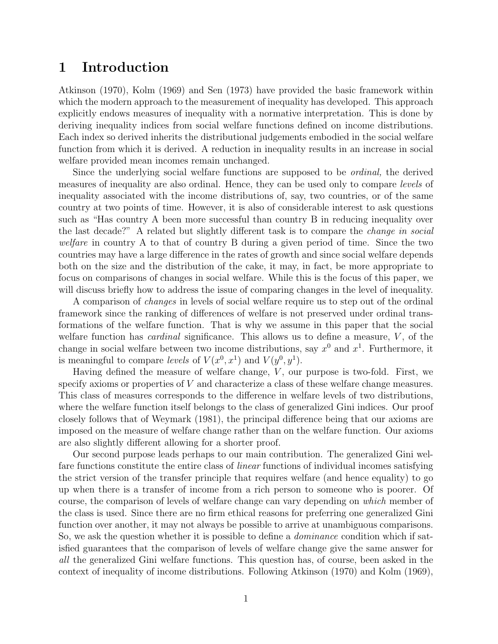#### 1 Introduction

Atkinson (1970), Kolm (1969) and Sen (1973) have provided the basic framework within which the modern approach to the measurement of inequality has developed. This approach explicitly endows measures of inequality with a normative interpretation. This is done by deriving inequality indices from social welfare functions defined on income distributions. Each index so derived inherits the distributional judgements embodied in the social welfare function from which it is derived. A reduction in inequality results in an increase in social welfare provided mean incomes remain unchanged.

Since the underlying social welfare functions are supposed to be *ordinal*, the derived measures of inequality are also ordinal. Hence, they can be used only to compare levels of inequality associated with the income distributions of, say, two countries, or of the same country at two points of time. However, it is also of considerable interest to ask questions such as "Has country A been more successful than country B in reducing inequality over the last decade?" A related but slightly different task is to compare the change in social welfare in country A to that of country B during a given period of time. Since the two countries may have a large difference in the rates of growth and since social welfare depends both on the size and the distribution of the cake, it may, in fact, be more appropriate to focus on comparisons of changes in social welfare. While this is the focus of this paper, we will discuss briefly how to address the issue of comparing changes in the level of inequality.

A comparison of changes in levels of social welfare require us to step out of the ordinal framework since the ranking of differences of welfare is not preserved under ordinal transformations of the welfare function. That is why we assume in this paper that the social welfare function has *cardinal* significance. This allows us to define a measure,  $V$ , of the change in social welfare between two income distributions, say  $x^0$  and  $x^1$ . Furthermore, it is meaningful to compare levels of  $V(x^0, x^1)$  and  $V(y^0, y^1)$ .

Having defined the measure of welfare change,  $V$ , our purpose is two-fold. First, we specify axioms or properties of V and characterize a class of these welfare change measures. This class of measures corresponds to the difference in welfare levels of two distributions, where the welfare function itself belongs to the class of generalized Gini indices. Our proof closely follows that of Weymark (1981), the principal difference being that our axioms are imposed on the measure of welfare change rather than on the welfare function. Our axioms are also slightly different allowing for a shorter proof.

Our second purpose leads perhaps to our main contribution. The generalized Gini welfare functions constitute the entire class of linear functions of individual incomes satisfying the strict version of the transfer principle that requires welfare (and hence equality) to go up when there is a transfer of income from a rich person to someone who is poorer. Of course, the comparison of levels of welfare change can vary depending on which member of the class is used. Since there are no firm ethical reasons for preferring one generalized Gini function over another, it may not always be possible to arrive at unambiguous comparisons. So, we ask the question whether it is possible to define a dominance condition which if satisfied guarantees that the comparison of levels of welfare change give the same answer for all the generalized Gini welfare functions. This question has, of course, been asked in the context of inequality of income distributions. Following Atkinson (1970) and Kolm (1969),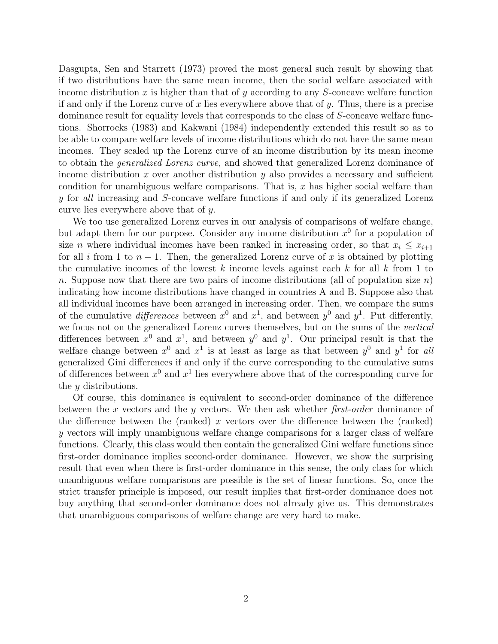Dasgupta, Sen and Starrett (1973) proved the most general such result by showing that if two distributions have the same mean income, then the social welfare associated with income distribution x is higher than that of y according to any  $S$ -concave welfare function if and only if the Lorenz curve of x lies everywhere above that of y. Thus, there is a precise dominance result for equality levels that corresponds to the class of S-concave welfare functions. Shorrocks (1983) and Kakwani (1984) independently extended this result so as to be able to compare welfare levels of income distributions which do not have the same mean incomes. They scaled up the Lorenz curve of an income distribution by its mean income to obtain the generalized Lorenz curve, and showed that generalized Lorenz dominance of income distribution x over another distribution y also provides a necessary and sufficient condition for unambiguous welfare comparisons. That is,  $x$  has higher social welfare than y for all increasing and S-concave welfare functions if and only if its generalized Lorenz curve lies everywhere above that of y.

We too use generalized Lorenz curves in our analysis of comparisons of welfare change, but adapt them for our purpose. Consider any income distribution  $x^0$  for a population of size *n* where individual incomes have been ranked in increasing order, so that  $x_i \leq x_{i+1}$ for all i from 1 to  $n-1$ . Then, the generalized Lorenz curve of x is obtained by plotting the cumulative incomes of the lowest k income levels against each k for all k from 1 to n. Suppose now that there are two pairs of income distributions (all of population size  $n$ ) indicating how income distributions have changed in countries A and B. Suppose also that all individual incomes have been arranged in increasing order. Then, we compare the sums of the cumulative *differences* between  $x^0$  and  $x^1$ , and between  $y^0$  and  $y^1$ . Put differently, we focus not on the generalized Lorenz curves themselves, but on the sums of the vertical differences between  $x^0$  and  $x^1$ , and between  $y^0$  and  $y^1$ . Our principal result is that the welfare change between  $x^0$  and  $x^1$  is at least as large as that between  $y^0$  and  $y^1$  for all generalized Gini differences if and only if the curve corresponding to the cumulative sums of differences between  $x^0$  and  $x^1$  lies everywhere above that of the corresponding curve for the y distributions.

Of course, this dominance is equivalent to second-order dominance of the difference between the x vectors and the y vectors. We then ask whether first-order dominance of the difference between the (ranked) x vectors over the difference between the (ranked) y vectors will imply unambiguous welfare change comparisons for a larger class of welfare functions. Clearly, this class would then contain the generalized Gini welfare functions since first-order dominance implies second-order dominance. However, we show the surprising result that even when there is first-order dominance in this sense, the only class for which unambiguous welfare comparisons are possible is the set of linear functions. So, once the strict transfer principle is imposed, our result implies that first-order dominance does not buy anything that second-order dominance does not already give us. This demonstrates that unambiguous comparisons of welfare change are very hard to make.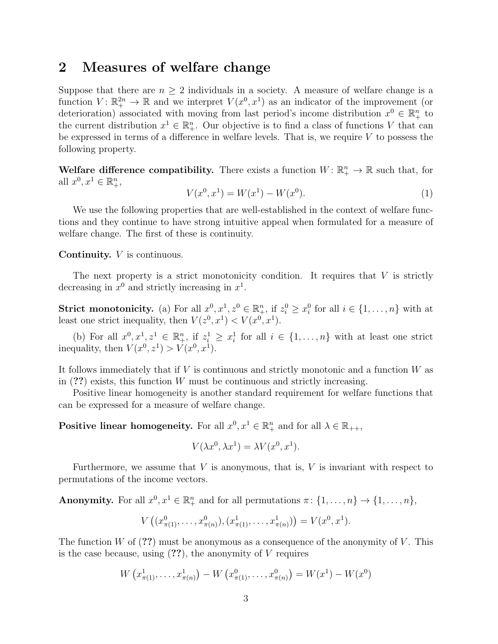#### 2 Measures of welfare change

Suppose that there are  $n \geq 2$  individuals in a society. A measure of welfare change is a function  $V: \mathbb{R}^{2n}_+ \to \mathbb{R}$  and we interpret  $V(x^0, x^1)$  as an indicator of the improvement (or deterioration) associated with moving from last period's income distribution  $x^0 \in \mathbb{R}^n_+$  to the current distribution  $x^1 \in \mathbb{R}^n_+$ . Our objective is to find a class of functions V that can be expressed in terms of a difference in welfare levels. That is, we require  $V$  to possess the following property.

Welfare difference compatibility. There exists a function  $W: \mathbb{R}^n_+ \to \mathbb{R}$  such that, for all  $x^0, x^1 \in \mathbb{R}_+^n$ ,

$$
V(x^0, x^1) = W(x^1) - W(x^0). \tag{1}
$$

We use the following properties that are well-established in the context of welfare functions and they continue to have strong intuitive appeal when formulated for a measure of welfare change. The first of these is continuity.

Continuity. V is continuous.

The next property is a strict monotonicity condition. It requires that  $V$  is strictly decreasing in  $x^0$  and strictly increasing in  $x^1$ .

**Strict monotonicity.** (a) For all  $x^0, x^1, z^0 \in \mathbb{R}^n_+$ , if  $z_i^0 \ge x_i^0$  for all  $i \in \{1, ..., n\}$  with at least one strict inequality, then  $V(z^0, x^1) < V(x^0, x^1)$ .

(b) For all  $x^0, x^1, z^1 \in \mathbb{R}^n_+$ , if  $z_i^1 \geq x_i^1$  for all  $i \in \{1, \ldots, n\}$  with at least one strict inequality, then  $V(x^0, z^1) > V(x^0, x^1)$ .

It follows immediately that if  $V$  is continuous and strictly monotonic and a function  $W$  as in  $(?)$  exists, this function W must be continuous and strictly increasing.

Positive linear homogeneity is another standard requirement for welfare functions that can be expressed for a measure of welfare change.

Positive linear homogeneity. For all  $x^0, x^1 \in \mathbb{R}_+^n$  and for all  $\lambda \in \mathbb{R}_{++}$ ,

$$
V(\lambda x^0, \lambda x^1) = \lambda V(x^0, x^1).
$$

Furthermore, we assume that  $V$  is anonymous, that is,  $V$  is invariant with respect to permutations of the income vectors.

**Anonymity.** For all  $x^0, x^1 \in \mathbb{R}^n_+$  and for all permutations  $\pi: \{1, \ldots, n\} \to \{1, \ldots, n\}$ ,

$$
V((x^0_{\pi(1)},\ldots,x^0_{\pi(n)}),(x^1_{\pi(1)},\ldots,x^1_{\pi(n)}))=V(x^0,x^1).
$$

The function W of  $(2)$  must be anonymous as a consequence of the anonymity of V. This is the case because, using  $(?)$ , the anonymity of V requires

$$
W\left(x_{\pi(1)}^1, \ldots, x_{\pi(n)}^1\right) - W\left(x_{\pi(1)}^0, \ldots, x_{\pi(n)}^0\right) = W(x^1) - W(x^0)
$$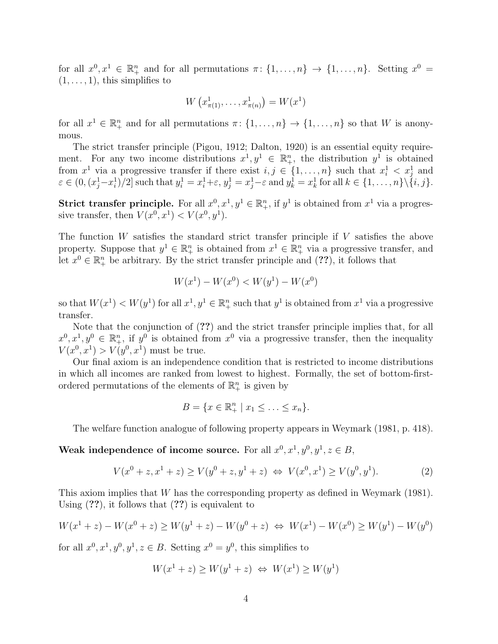for all  $x^0, x^1 \in \mathbb{R}^n_+$  and for all permutations  $\pi: \{1, \ldots, n\} \to \{1, \ldots, n\}$ . Setting  $x^0 =$  $(1, \ldots, 1)$ , this simplifies to

$$
W\left(x_{\pi(1)}^1, \ldots, x_{\pi(n)}^1\right) = W(x^1)
$$

for all  $x^1 \in \mathbb{R}^n_+$  and for all permutations  $\pi: \{1, \ldots, n\} \to \{1, \ldots, n\}$  so that W is anonymous.

The strict transfer principle (Pigou, 1912; Dalton, 1920) is an essential equity requirement. For any two income distributions  $x^1, y^1 \in \mathbb{R}^n_+$ , the distribution  $y^1$  is obtained from  $x^1$  via a progressive transfer if there exist  $i, j \in \{1, \ldots, n\}$  such that  $x_i^1 < x_j^1$  and  $\varepsilon \in (0, (x_j^1 - x_i^1)/2]$  such that  $y_i^1 = x_i^1 + \varepsilon$ ,  $y_j^1 = x_j^1 - \varepsilon$  and  $y_k^1 = x_k^1$  for all  $k \in \{1, \ldots, n\} \setminus \{i, j\}$ .

Strict transfer principle. For all  $x^0, x^1, y^1 \in \mathbb{R}^n_+$ , if  $y^1$  is obtained from  $x^1$  via a progressive transfer, then  $V(x^0, x^1) < V(x^0, y^1)$ .

The function  $W$  satisfies the standard strict transfer principle if  $V$  satisfies the above property. Suppose that  $y^1 \in \mathbb{R}^n_+$  is obtained from  $x^1 \in \mathbb{R}^n_+$  via a progressive transfer, and let  $x^0 \in \mathbb{R}^n_+$  be arbitrary. By the strict transfer principle and  $(??)$ , it follows that

$$
W(x^{1}) - W(x^{0}) < W(y^{1}) - W(x^{0})
$$

so that  $W(x^1) < W(y^1)$  for all  $x^1, y^1 \in \mathbb{R}^n_+$  such that  $y^1$  is obtained from  $x^1$  via a progressive transfer.

Note that the conjunction of  $(?)$  and the strict transfer principle implies that, for all  $x^0, x^1, y^0 \in \mathbb{R}^n_+$ , if  $y^0$  is obtained from  $x^0$  via a progressive transfer, then the inequality  $V(x^0, x^1) > V(y^0, x^1)$  must be true.

Our final axiom is an independence condition that is restricted to income distributions in which all incomes are ranked from lowest to highest. Formally, the set of bottom-firstordered permutations of the elements of  $\mathbb{R}^n_+$  is given by

$$
B = \{x \in \mathbb{R}_+^n \mid x_1 \leq \ldots \leq x_n\}.
$$

The welfare function analogue of following property appears in Weymark (1981, p. 418).

Weak independence of income source. For all  $x^0, x^1, y^0, y^1, z \in B$ ,

$$
V(x^{0} + z, x^{1} + z) \ge V(y^{0} + z, y^{1} + z) \iff V(x^{0}, x^{1}) \ge V(y^{0}, y^{1}).
$$
\n(2)

This axiom implies that W has the corresponding property as defined in Weymark (1981). Using  $(??)$ , it follows that  $(??)$  is equivalent to

$$
W(x^{1} + z) - W(x^{0} + z) \ge W(y^{1} + z) - W(y^{0} + z) \iff W(x^{1}) - W(x^{0}) \ge W(y^{1}) - W(y^{0})
$$

for all  $x^0, x^1, y^0, y^1, z \in B$ . Setting  $x^0 = y^0$ , this simplifies to

$$
W(x^1 + z) \ge W(y^1 + z) \iff W(x^1) \ge W(y^1)
$$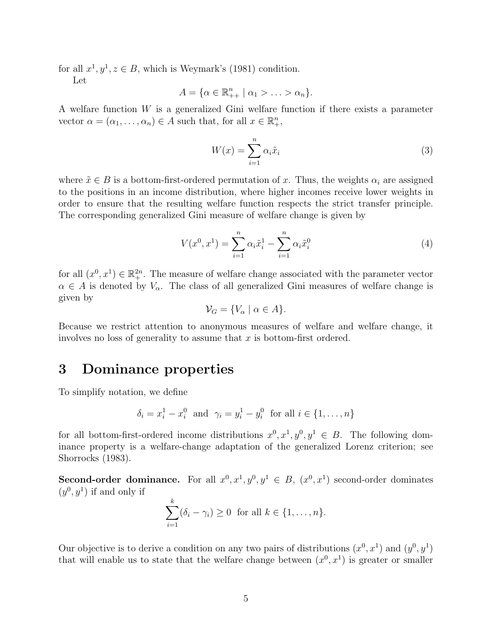for all  $x^1, y^1, z \in B$ , which is Weymark's (1981) condition.

Let

$$
A = \{ \alpha \in \mathbb{R}_{++}^n \mid \alpha_1 > \ldots > \alpha_n \}.
$$

A welfare function  $W$  is a generalized Gini welfare function if there exists a parameter vector  $\alpha = (\alpha_1, \dots, \alpha_n) \in A$  such that, for all  $x \in \mathbb{R}^n_+$ ,

$$
W(x) = \sum_{i=1}^{n} \alpha_i \tilde{x}_i
$$
 (3)

where  $\tilde{x} \in B$  is a bottom-first-ordered permutation of x. Thus, the weights  $\alpha_i$  are assigned to the positions in an income distribution, where higher incomes receive lower weights in order to ensure that the resulting welfare function respects the strict transfer principle. The corresponding generalized Gini measure of welfare change is given by

$$
V(x^{0}, x^{1}) = \sum_{i=1}^{n} \alpha_{i} \tilde{x}_{i}^{1} - \sum_{i=1}^{n} \alpha_{i} \tilde{x}_{i}^{0}
$$
\n(4)

for all  $(x^0, x^1) \in \mathbb{R}^{2n}_+$ . The measure of welfare change associated with the parameter vector  $\alpha \in A$  is denoted by  $V_{\alpha}$ . The class of all generalized Gini measures of welfare change is given by

$$
\mathcal{V}_G = \{ V_\alpha \mid \alpha \in A \}.
$$

Because we restrict attention to anonymous measures of welfare and welfare change, it involves no loss of generality to assume that  $x$  is bottom-first ordered.

## 3 Dominance properties

To simplify notation, we define

$$
\delta_i = x_i^1 - x_i^0
$$
 and  $\gamma_i = y_i^1 - y_i^0$  for all  $i \in \{1, ..., n\}$ 

for all bottom-first-ordered income distributions  $x^0, x^1, y^0, y^1 \in B$ . The following dominance property is a welfare-change adaptation of the generalized Lorenz criterion; see Shorrocks (1983).

**Second-order dominance.** For all  $x^0, x^1, y^0, y^1 \in B$ ,  $(x^0, x^1)$  second-order dominates  $(y^0, y^1)$  if and only if

$$
\sum_{i=1}^k (\delta_i - \gamma_i) \ge 0 \text{ for all } k \in \{1, \dots, n\}.
$$

Our objective is to derive a condition on any two pairs of distributions  $(x^0, x^1)$  and  $(y^0, y^1)$ that will enable us to state that the welfare change between  $(x^0, x^1)$  is greater or smaller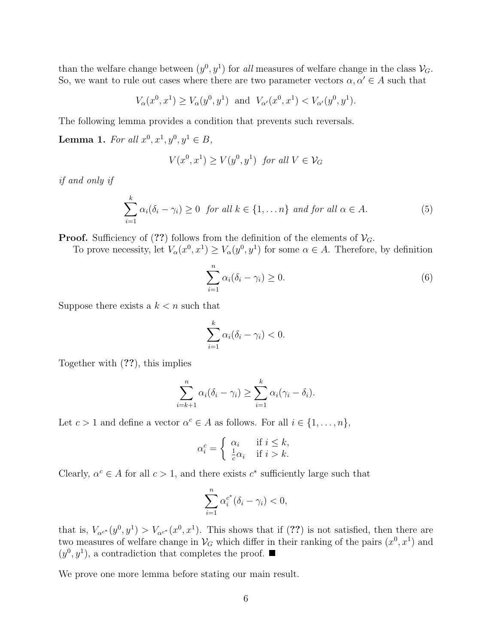than the welfare change between  $(y^0, y^1)$  for all measures of welfare change in the class  $\mathcal{V}_G$ . So, we want to rule out cases where there are two parameter vectors  $\alpha, \alpha' \in A$  such that

$$
V_{\alpha}(x^0, x^1) \ge V_{\alpha}(y^0, y^1)
$$
 and  $V_{\alpha'}(x^0, x^1) < V_{\alpha'}(y^0, y^1)$ .

The following lemma provides a condition that prevents such reversals.

**Lemma 1.** For all  $x^0, x^1, y^0, y^1 \in B$ ,

$$
V(x^0, x^1) \ge V(y^0, y^1) \text{ for all } V \in \mathcal{V}_G
$$

if and only if

$$
\sum_{i=1}^{k} \alpha_i (\delta_i - \gamma_i) \ge 0 \text{ for all } k \in \{1, \dots n\} \text{ and for all } \alpha \in A.
$$
 (5)

**Proof.** Sufficiency of (??) follows from the definition of the elements of  $V_G$ .

To prove necessity, let  $V_{\alpha}(x^0, x^1) \geq V_{\alpha}(y^0, y^1)$  for some  $\alpha \in A$ . Therefore, by definition

$$
\sum_{i=1}^{n} \alpha_i (\delta_i - \gamma_i) \ge 0.
$$
 (6)

Suppose there exists a  $k < n$  such that

$$
\sum_{i=1}^k \alpha_i(\delta_i - \gamma_i) < 0.
$$

Together with (??), this implies

$$
\sum_{i=k+1}^n \alpha_i(\delta_i - \gamma_i) \ge \sum_{i=1}^k \alpha_i(\gamma_i - \delta_i).
$$

Let  $c > 1$  and define a vector  $\alpha^c \in A$  as follows. For all  $i \in \{1, \ldots, n\}$ ,

$$
\alpha_i^c = \begin{cases} \alpha_i & \text{if } i \leq k, \\ \frac{1}{c}\alpha_i & \text{if } i > k. \end{cases}
$$

Clearly,  $\alpha^c \in A$  for all  $c > 1$ , and there exists  $c^*$  sufficiently large such that

$$
\sum_{i=1}^n \alpha_i^{c^*} (\delta_i - \gamma_i) < 0,
$$

that is,  $V_{\alpha^{c^*}}(y^0, y^1) > V_{\alpha^{c^*}}(x^0, x^1)$ . This shows that if (??) is not satisfied, then there are two measures of welfare change in  $\mathcal{V}_G$  which differ in their ranking of the pairs  $(x^0, x^1)$  and  $(y^0, y^1)$ , a contradiction that completes the proof.

We prove one more lemma before stating our main result.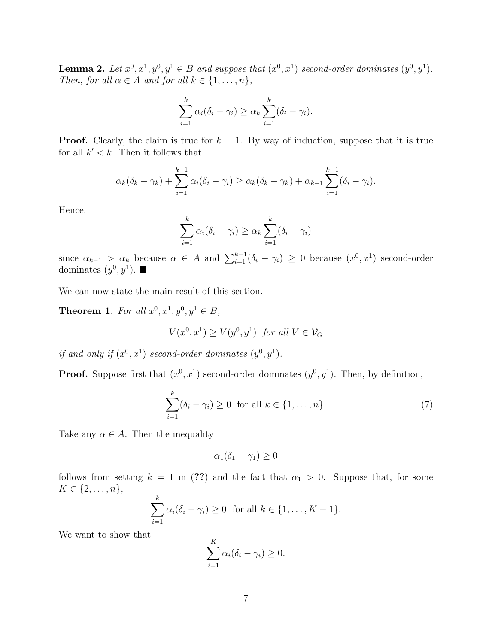**Lemma 2.** Let  $x^0, x^1, y^0, y^1 \in B$  and suppose that  $(x^0, x^1)$  second-order dominates  $(y^0, y^1)$ . Then, for all  $\alpha \in A$  and for all  $k \in \{1, \ldots, n\}$ ,

$$
\sum_{i=1}^k \alpha_i(\delta_i - \gamma_i) \ge \alpha_k \sum_{i=1}^k (\delta_i - \gamma_i).
$$

**Proof.** Clearly, the claim is true for  $k = 1$ . By way of induction, suppose that it is true for all  $k' < k$ . Then it follows that

$$
\alpha_k(\delta_k-\gamma_k)+\sum_{i=1}^{k-1}\alpha_i(\delta_i-\gamma_i)\geq \alpha_k(\delta_k-\gamma_k)+\alpha_{k-1}\sum_{i=1}^{k-1}(\delta_i-\gamma_i).
$$

Hence,

$$
\sum_{i=1}^{k} \alpha_i (\delta_i - \gamma_i) \ge \alpha_k \sum_{i=1}^{k} (\delta_i - \gamma_i)
$$

since  $\alpha_{k-1} > \alpha_k$  because  $\alpha \in A$  and  $\sum_{i=1}^{k-1} (\delta_i - \gamma_i) \geq 0$  because  $(x^0, x^1)$  second-order dominates  $(y^0, y^1)$ .

We can now state the main result of this section.

**Theorem 1.** For all  $x^0, x^1, y^0, y^1 \in B$ ,

$$
V(x^0,x^1)\geq V(y^0,y^1) \ \hbox{ for all } V\in\mathcal{V}_G
$$

if and only if  $(x^0, x^1)$  second-order dominates  $(y^0, y^1)$ .

**Proof.** Suppose first that  $(x^0, x^1)$  second-order dominates  $(y^0, y^1)$ . Then, by definition,

$$
\sum_{i=1}^{k} (\delta_i - \gamma_i) \ge 0 \quad \text{for all } k \in \{1, \dots, n\}.
$$
 (7)

Take any  $\alpha \in A$ . Then the inequality

$$
\alpha_1(\delta_1 - \gamma_1) \ge 0
$$

follows from setting  $k = 1$  in (??) and the fact that  $\alpha_1 > 0$ . Suppose that, for some  $K \in \{2, ..., n\},\$ 

$$
\sum_{i=1}^k \alpha_i(\delta_i - \gamma_i) \ge 0 \text{ for all } k \in \{1, \dots, K-1\}.
$$

We want to show that

$$
\sum_{i=1}^K \alpha_i(\delta_i - \gamma_i) \ge 0.
$$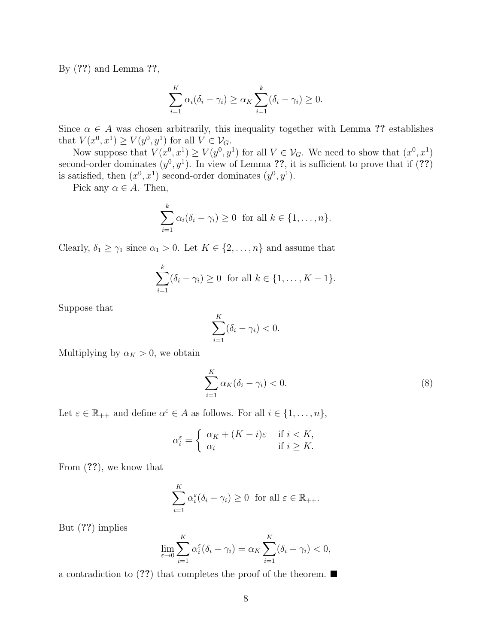By (??) and Lemma ??,

$$
\sum_{i=1}^{K} \alpha_i (\delta_i - \gamma_i) \ge \alpha_K \sum_{i=1}^{k} (\delta_i - \gamma_i) \ge 0.
$$

Since  $\alpha \in A$  was chosen arbitrarily, this inequality together with Lemma ?? establishes that  $V(x^0, x^1) \ge V(y^0, y^1)$  for all  $V \in \mathcal{V}_G$ .

Now suppose that  $V(x^0, x^1) \ge V(y^0, y^1)$  for all  $V \in \mathcal{V}_G$ . We need to show that  $(x^0, x^1)$ second-order dominates  $(y^0, y^1)$ . In view of Lemma ??, it is sufficient to prove that if (??) is satisfied, then  $(x^0, x^1)$  second-order dominates  $(y^0, y^1)$ .

Pick any  $\alpha \in A$ . Then,

$$
\sum_{i=1}^k \alpha_i(\delta_i - \gamma_i) \ge 0 \text{ for all } k \in \{1, \dots, n\}.
$$

Clearly,  $\delta_1 \geq \gamma_1$  since  $\alpha_1 > 0$ . Let  $K \in \{2, ..., n\}$  and assume that

$$
\sum_{i=1}^{k} (\delta_i - \gamma_i) \ge 0 \text{ for all } k \in \{1, ..., K - 1\}.
$$

Suppose that

$$
\sum_{i=1}^K (\delta_i - \gamma_i) < 0.
$$

Multiplying by  $\alpha_K > 0$ , we obtain

$$
\sum_{i=1}^{K} \alpha_K(\delta_i - \gamma_i) < 0. \tag{8}
$$

Let  $\varepsilon \in \mathbb{R}_{++}$  and define  $\alpha^{\varepsilon} \in A$  as follows. For all  $i \in \{1, \ldots, n\},$ 

$$
\alpha_i^{\varepsilon} = \begin{cases} \alpha_K + (K - i)\varepsilon & \text{if } i < K, \\ \alpha_i & \text{if } i \ge K. \end{cases}
$$

From (??), we know that

$$
\sum_{i=1}^K \alpha_i^{\varepsilon} (\delta_i - \gamma_i) \ge 0 \text{ for all } \varepsilon \in \mathbb{R}_{++}.
$$

But (??) implies

$$
\lim_{\varepsilon \to 0} \sum_{i=1}^K \alpha_i^{\varepsilon} (\delta_i - \gamma_i) = \alpha_K \sum_{i=1}^K (\delta_i - \gamma_i) < 0,
$$

a contradiction to (??) that completes the proof of the theorem.  $\blacksquare$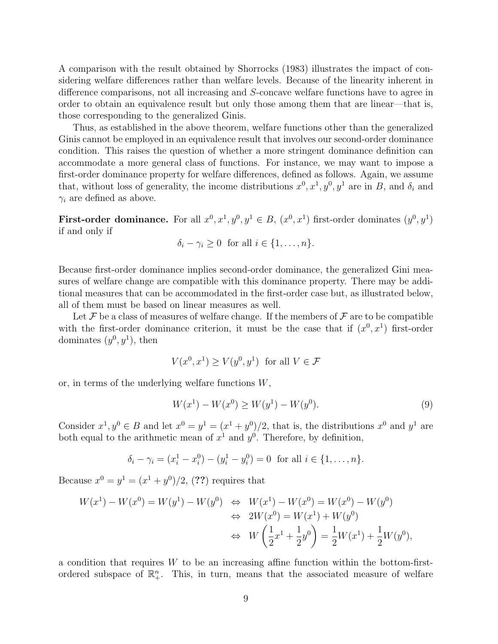A comparison with the result obtained by Shorrocks (1983) illustrates the impact of considering welfare differences rather than welfare levels. Because of the linearity inherent in difference comparisons, not all increasing and S-concave welfare functions have to agree in order to obtain an equivalence result but only those among them that are linear—that is, those corresponding to the generalized Ginis.

Thus, as established in the above theorem, welfare functions other than the generalized Ginis cannot be employed in an equivalence result that involves our second-order dominance condition. This raises the question of whether a more stringent dominance definition can accommodate a more general class of functions. For instance, we may want to impose a first-order dominance property for welfare differences, defined as follows. Again, we assume that, without loss of generality, the income distributions  $x^0, x^1, y^0, y^1$  are in B, and  $\delta_i$  and  $\gamma_i$  are defined as above.

**First-order dominance.** For all  $x^0, x^1, y^0, y^1 \in B$ ,  $(x^0, x^1)$  first-order dominates  $(y^0, y^1)$ if and only if

$$
\delta_i - \gamma_i \ge 0 \text{ for all } i \in \{1, \dots, n\}.
$$

Because first-order dominance implies second-order dominance, the generalized Gini measures of welfare change are compatible with this dominance property. There may be additional measures that can be accommodated in the first-order case but, as illustrated below, all of them must be based on linear measures as well.

Let  $\mathcal F$  be a class of measures of welfare change. If the members of  $\mathcal F$  are to be compatible with the first-order dominance criterion, it must be the case that if  $(x^0, x^1)$  first-order dominates  $(y^0, y^1)$ , then

$$
V(x^0, x^1) \ge V(y^0, y^1) \text{ for all } V \in \mathcal{F}
$$

or, in terms of the underlying welfare functions  $W$ ,

$$
W(x1) - W(x0) \ge W(y1) - W(y0).
$$
\n(9)

Consider  $x^1, y^0 \in B$  and let  $x^0 = y^1 = (x^1 + y^0)/2$ , that is, the distributions  $x^0$  and  $y^1$  are both equal to the arithmetic mean of  $x^1$  and  $y^0$ . Therefore, by definition,

$$
\delta_i - \gamma_i = (x_i^1 - x_i^0) - (y_i^1 - y_i^0) = 0
$$
 for all  $i \in \{1, ..., n\}.$ 

Because  $x^0 = y^1 = (x^1 + y^0)/2$ , (??) requires that

$$
W(x^{1}) - W(x^{0}) = W(y^{1}) - W(y^{0}) \iff W(x^{1}) - W(x^{0}) = W(x^{0}) - W(y^{0})
$$
  
\n
$$
\iff 2W(x^{0}) = W(x^{1}) + W(y^{0})
$$
  
\n
$$
\iff W\left(\frac{1}{2}x^{1} + \frac{1}{2}y^{0}\right) = \frac{1}{2}W(x^{1}) + \frac{1}{2}W(y^{0}),
$$

a condition that requires  $W$  to be an increasing affine function within the bottom-firstordered subspace of  $\mathbb{R}^n_+$ . This, in turn, means that the associated measure of welfare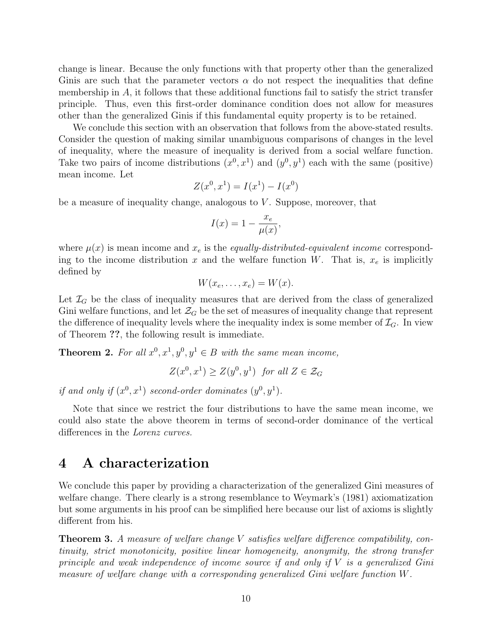change is linear. Because the only functions with that property other than the generalized Ginis are such that the parameter vectors  $\alpha$  do not respect the inequalities that define membership in A, it follows that these additional functions fail to satisfy the strict transfer principle. Thus, even this first-order dominance condition does not allow for measures other than the generalized Ginis if this fundamental equity property is to be retained.

We conclude this section with an observation that follows from the above-stated results. Consider the question of making similar unambiguous comparisons of changes in the level of inequality, where the measure of inequality is derived from a social welfare function. Take two pairs of income distributions  $(x^0, x^1)$  and  $(y^0, y^1)$  each with the same (positive) mean income. Let

$$
Z(x^{0}, x^{1}) = I(x^{1}) - I(x^{0})
$$

be a measure of inequality change, analogous to  $V$ . Suppose, moreover, that

$$
I(x) = 1 - \frac{x_e}{\mu(x)},
$$

where  $\mu(x)$  is mean income and  $x_e$  is the *equally-distributed-equivalent income* corresponding to the income distribution x and the welfare function W. That is,  $x_e$  is implicitly defined by

$$
W(x_e, \ldots, x_e) = W(x).
$$

Let  $\mathcal{I}_G$  be the class of inequality measures that are derived from the class of generalized Gini welfare functions, and let  $\mathcal{Z}_G$  be the set of measures of inequality change that represent the difference of inequality levels where the inequality index is some member of  $\mathcal{I}_G$ . In view of Theorem ??, the following result is immediate.

**Theorem 2.** For all  $x^0, x^1, y^0, y^1 \in B$  with the same mean income,

$$
Z(x^0, x^1) \ge Z(y^0, y^1) \text{ for all } Z \in \mathcal{Z}_G
$$

if and only if  $(x^0, x^1)$  second-order dominates  $(y^0, y^1)$ .

Note that since we restrict the four distributions to have the same mean income, we could also state the above theorem in terms of second-order dominance of the vertical differences in the Lorenz curves.

## 4 A characterization

We conclude this paper by providing a characterization of the generalized Gini measures of welfare change. There clearly is a strong resemblance to Weymark's (1981) axiomatization but some arguments in his proof can be simplified here because our list of axioms is slightly different from his.

Theorem 3. A measure of welfare change V satisfies welfare difference compatibility, continuity, strict monotonicity, positive linear homogeneity, anonymity, the strong transfer principle and weak independence of income source if and only if  $V$  is a generalized Gini measure of welfare change with a corresponding generalized Gini welfare function W.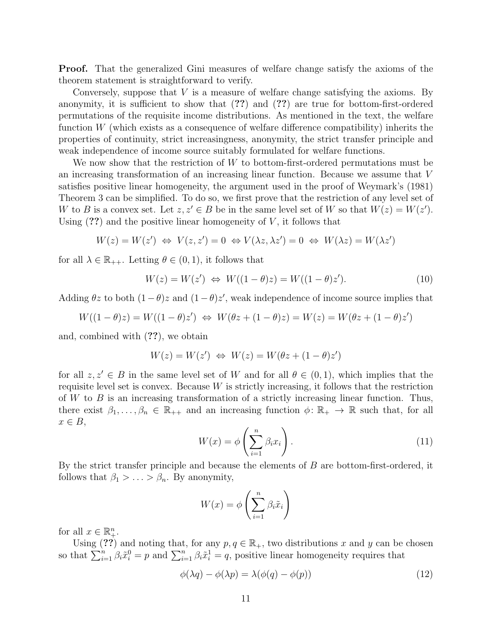Proof. That the generalized Gini measures of welfare change satisfy the axioms of the theorem statement is straightforward to verify.

Conversely, suppose that  $V$  is a measure of welfare change satisfying the axioms. By anonymity, it is sufficient to show that (??) and (??) are true for bottom-first-ordered permutations of the requisite income distributions. As mentioned in the text, the welfare function W (which exists as a consequence of welfare difference compatibility) inherits the properties of continuity, strict increasingness, anonymity, the strict transfer principle and weak independence of income source suitably formulated for welfare functions.

We now show that the restriction of W to bottom-first-ordered permutations must be an increasing transformation of an increasing linear function. Because we assume that V satisfies positive linear homogeneity, the argument used in the proof of Weymark's (1981) Theorem 3 can be simplified. To do so, we first prove that the restriction of any level set of W to B is a convex set. Let  $z, z' \in B$  be in the same level set of W so that  $W(z) = W(z')$ . Using  $(?)$  and the positive linear homogeneity of V, it follows that

$$
W(z) = W(z') \Leftrightarrow V(z, z') = 0 \Leftrightarrow V(\lambda z, \lambda z') = 0 \Leftrightarrow W(\lambda z) = W(\lambda z')
$$

for all  $\lambda \in \mathbb{R}_{++}$ . Letting  $\theta \in (0,1)$ , it follows that

$$
W(z) = W(z') \Leftrightarrow W((1 - \theta)z) = W((1 - \theta)z'). \tag{10}
$$

Adding  $\theta z$  to both  $(1 - \theta)z$  and  $(1 - \theta)z'$ , weak independence of income source implies that

$$
W((1 - \theta)z) = W((1 - \theta)z') \Leftrightarrow W(\theta z + (1 - \theta)z) = W(z) = W(\theta z + (1 - \theta)z')
$$

and, combined with (??), we obtain

$$
W(z) = W(z') \iff W(z) = W(\theta z + (1 - \theta) z')
$$

for all  $z, z' \in B$  in the same level set of W and for all  $\theta \in (0, 1)$ , which implies that the requisite level set is convex. Because  $W$  is strictly increasing, it follows that the restriction of  $W$  to  $B$  is an increasing transformation of a strictly increasing linear function. Thus, there exist  $\beta_1, \ldots, \beta_n \in \mathbb{R}_{++}$  and an increasing function  $\phi \colon \mathbb{R}_+ \to \mathbb{R}$  such that, for all  $x \in B$ ,

$$
W(x) = \phi\left(\sum_{i=1}^{n} \beta_i x_i\right). \tag{11}
$$

By the strict transfer principle and because the elements of  $B$  are bottom-first-ordered, it follows that  $\beta_1 > \ldots > \beta_n$ . By anonymity,

$$
W(x) = \phi\left(\sum_{i=1}^{n} \beta_i \tilde{x}_i\right)
$$

for all  $x \in \mathbb{R}^n_+$ .

Using (??) and noting that, for any  $p, q \in \mathbb{R}_+$ , two distributions x and y can be chosen so that  $\sum_{i=1}^n \beta_i \tilde{x}_i^0 = p$  and  $\sum_{i=1}^n \beta_i \tilde{x}_i^1 = q$ , positive linear homogeneity requires that

$$
\phi(\lambda q) - \phi(\lambda p) = \lambda(\phi(q) - \phi(p))\tag{12}
$$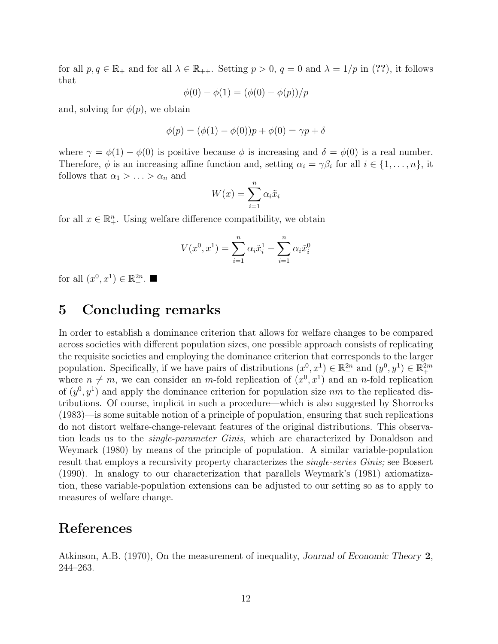for all  $p, q \in \mathbb{R}_+$  and for all  $\lambda \in \mathbb{R}_{++}$ . Setting  $p > 0$ ,  $q = 0$  and  $\lambda = 1/p$  in (??), it follows that

$$
\phi(0) - \phi(1) = (\phi(0) - \phi(p))/p
$$

and, solving for  $\phi(p)$ , we obtain

$$
\phi(p) = (\phi(1) - \phi(0))p + \phi(0) = \gamma p + \delta
$$

where  $\gamma = \phi(1) - \phi(0)$  is positive because  $\phi$  is increasing and  $\delta = \phi(0)$  is a real number. Therefore,  $\phi$  is an increasing affine function and, setting  $\alpha_i = \gamma \beta_i$  for all  $i \in \{1, \ldots, n\}$ , it follows that  $\alpha_1 > \ldots > \alpha_n$  and

$$
W(x) = \sum_{i=1}^{n} \alpha_i \tilde{x}_i
$$

for all  $x \in \mathbb{R}^n_+$ . Using welfare difference compatibility, we obtain

$$
V(x^{0}, x^{1}) = \sum_{i=1}^{n} \alpha_{i} \tilde{x}_{i}^{1} - \sum_{i=1}^{n} \alpha_{i} \tilde{x}_{i}^{0}
$$

for all  $(x^0, x^1) \in \mathbb{R}^{2n}_+$ .

### 5 Concluding remarks

In order to establish a dominance criterion that allows for welfare changes to be compared across societies with different population sizes, one possible approach consists of replicating the requisite societies and employing the dominance criterion that corresponds to the larger population. Specifically, if we have pairs of distributions  $(x^0, x^1) \in \mathbb{R}^{2n}_+$  and  $(y^0, y^1) \in \mathbb{R}^{2m}_+$ where  $n \neq m$ , we can consider an m-fold replication of  $(x^0, x^1)$  and an n-fold replication of  $(y^0, y^1)$  and apply the dominance criterion for population size nm to the replicated distributions. Of course, implicit in such a procedure—which is also suggested by Shorrocks (1983)—is some suitable notion of a principle of population, ensuring that such replications do not distort welfare-change-relevant features of the original distributions. This observation leads us to the *single-parameter Ginis*, which are characterized by Donaldson and Weymark (1980) by means of the principle of population. A similar variable-population result that employs a recursivity property characterizes the *single-series Ginis*; see Bossert (1990). In analogy to our characterization that parallels Weymark's (1981) axiomatization, these variable-population extensions can be adjusted to our setting so as to apply to measures of welfare change.

#### References

Atkinson, A.B. (1970), On the measurement of inequality, Journal of Economic Theory 2, 244–263.